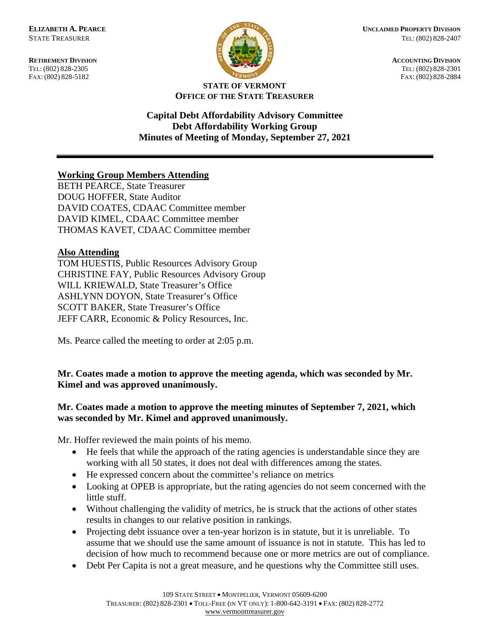FAX: (802) 828-5182



**RETIREMENT DIVISION ACCOUNTING DIVISION** TEL: (802) 828-2305<br>
FAX: (802) 828-2305<br>
FAX: (802) 828-2884<br>
TEL: (802) 828-2884

#### **STATE OF VERMONT OFFICE OF THE STATE TREASURER**

**Capital Debt Affordability Advisory Committee Debt Affordability Working Group Minutes of Meeting of Monday, September 27, 2021**

# **Working Group Members Attending**

BETH PEARCE, State Treasurer DOUG HOFFER, State Auditor DAVID COATES, CDAAC Committee member DAVID KIMEL, CDAAC Committee member THOMAS KAVET, CDAAC Committee member

### **Also Attending**

TOM HUESTIS, Public Resources Advisory Group CHRISTINE FAY, Public Resources Advisory Group WILL KRIEWALD, State Treasurer's Office ASHLYNN DOYON, State Treasurer's Office SCOTT BAKER, State Treasurer's Office JEFF CARR, Economic & Policy Resources, Inc.

Ms. Pearce called the meeting to order at 2:05 p.m.

## **Mr. Coates made a motion to approve the meeting agenda, which was seconded by Mr. Kimel and was approved unanimously.**

### **Mr. Coates made a motion to approve the meeting minutes of September 7, 2021, which was seconded by Mr. Kimel and approved unanimously.**

Mr. Hoffer reviewed the main points of his memo.

- He feels that while the approach of the rating agencies is understandable since they are working with all 50 states, it does not deal with differences among the states.
- He expressed concern about the committee's reliance on metrics
- Looking at OPEB is appropriate, but the rating agencies do not seem concerned with the little stuff.
- Without challenging the validity of metrics, he is struck that the actions of other states results in changes to our relative position in rankings.
- Projecting debt issuance over a ten-year horizon is in statute, but it is unreliable. To assume that we should use the same amount of issuance is not in statute. This has led to decision of how much to recommend because one or more metrics are out of compliance.
- Debt Per Capita is not a great measure, and he questions why the Committee still uses.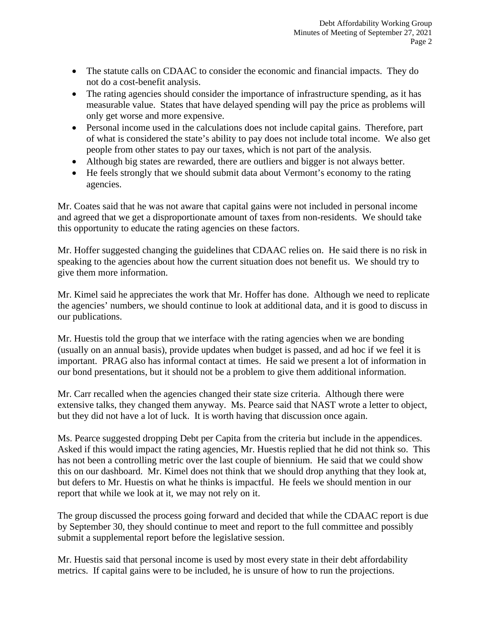- The statute calls on CDAAC to consider the economic and financial impacts. They do not do a cost-benefit analysis.
- The rating agencies should consider the importance of infrastructure spending, as it has measurable value. States that have delayed spending will pay the price as problems will only get worse and more expensive.
- Personal income used in the calculations does not include capital gains. Therefore, part of what is considered the state's ability to pay does not include total income. We also get people from other states to pay our taxes, which is not part of the analysis.
- Although big states are rewarded, there are outliers and bigger is not always better.
- He feels strongly that we should submit data about Vermont's economy to the rating agencies.

Mr. Coates said that he was not aware that capital gains were not included in personal income and agreed that we get a disproportionate amount of taxes from non-residents. We should take this opportunity to educate the rating agencies on these factors.

Mr. Hoffer suggested changing the guidelines that CDAAC relies on. He said there is no risk in speaking to the agencies about how the current situation does not benefit us. We should try to give them more information.

Mr. Kimel said he appreciates the work that Mr. Hoffer has done. Although we need to replicate the agencies' numbers, we should continue to look at additional data, and it is good to discuss in our publications.

Mr. Huestis told the group that we interface with the rating agencies when we are bonding (usually on an annual basis), provide updates when budget is passed, and ad hoc if we feel it is important. PRAG also has informal contact at times. He said we present a lot of information in our bond presentations, but it should not be a problem to give them additional information.

Mr. Carr recalled when the agencies changed their state size criteria. Although there were extensive talks, they changed them anyway. Ms. Pearce said that NAST wrote a letter to object, but they did not have a lot of luck. It is worth having that discussion once again.

Ms. Pearce suggested dropping Debt per Capita from the criteria but include in the appendices. Asked if this would impact the rating agencies, Mr. Huestis replied that he did not think so. This has not been a controlling metric over the last couple of biennium. He said that we could show this on our dashboard. Mr. Kimel does not think that we should drop anything that they look at, but defers to Mr. Huestis on what he thinks is impactful. He feels we should mention in our report that while we look at it, we may not rely on it.

The group discussed the process going forward and decided that while the CDAAC report is due by September 30, they should continue to meet and report to the full committee and possibly submit a supplemental report before the legislative session.

Mr. Huestis said that personal income is used by most every state in their debt affordability metrics. If capital gains were to be included, he is unsure of how to run the projections.